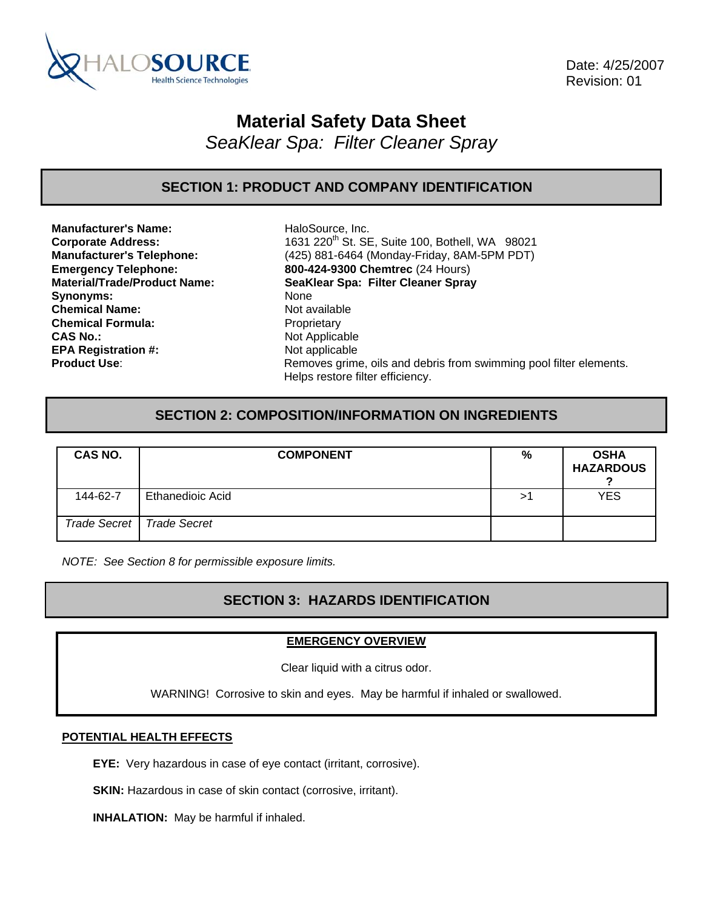

 Date: 4/25/2007 Revision: 01

# **Material Safety Data Sheet**

*SeaKlear Spa: Filter Cleaner Spray* 

# **SECTION 1: PRODUCT AND COMPANY IDENTIFICATION**

**Manufacturer's Name:** HaloSource, Inc. Synonyms: None **Chemical Name:** Not available **Chemical Formula:** Proprietary **CAS No.:** Not Applicable **EPA Registration #:** Not applicable

**Corporate Address:** 1631 220<sup>th</sup> St. SE, Suite 100, Bothell, WA 98021 **Manufacturer's Telephone:** (425) 881-6464 (Monday-Friday, 8AM-5PM PDT) **Emergency Telephone: 800-424-9300 Chemtrec** (24 Hours) **Material/Trade/Product Name: SeaKlear Spa: Filter Cleaner Spray Product Use:** Removes grime, oils and debris from swimming pool filter elements. Helps restore filter efficiency.

# **SECTION 2: COMPOSITION/INFORMATION ON INGREDIENTS**

| CAS NO.  | <b>COMPONENT</b>            | %  | <b>OSHA</b><br><b>HAZARDOUS</b> |
|----------|-----------------------------|----|---------------------------------|
| 144-62-7 | Ethanedioic Acid            | >` | <b>YES</b>                      |
|          | Trade Secret   Trade Secret |    |                                 |

*NOTE: See Section 8 for permissible exposure limits.* 

# **SECTION 3: HAZARDS IDENTIFICATION**

### **EMERGENCY OVERVIEW**

Clear liquid with a citrus odor.

WARNING! Corrosive to skin and eyes. May be harmful if inhaled or swallowed.

### **POTENTIAL HEALTH EFFECTS**

**EYE:** Very hazardous in case of eye contact (irritant, corrosive).

**SKIN:** Hazardous in case of skin contact (corrosive, irritant).

**INHALATION:** May be harmful if inhaled.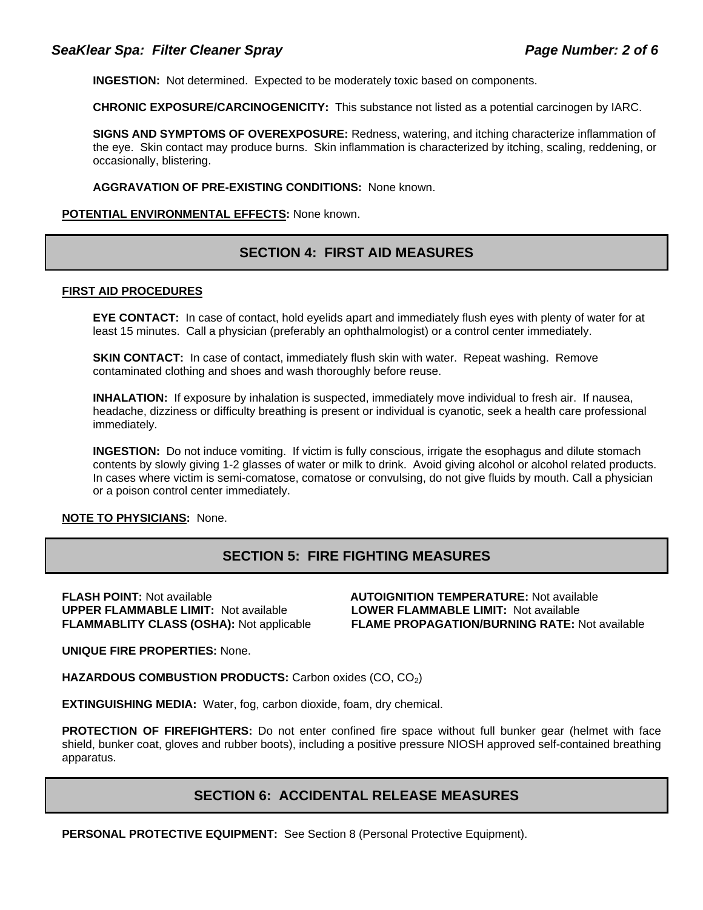**INGESTION:** Not determined. Expected to be moderately toxic based on components.

**CHRONIC EXPOSURE/CARCINOGENICITY:** This substance not listed as a potential carcinogen by IARC.

**SIGNS AND SYMPTOMS OF OVEREXPOSURE:** Redness, watering, and itching characterize inflammation of the eye. Skin contact may produce burns. Skin inflammation is characterized by itching, scaling, reddening, or occasionally, blistering.

**AGGRAVATION OF PRE-EXISTING CONDITIONS:** None known.

#### **POTENTIAL ENVIRONMENTAL EFFECTS:** None known.

### **SECTION 4: FIRST AID MEASURES**

#### **FIRST AID PROCEDURES**

**EYE CONTACT:** In case of contact, hold evelids apart and immediately flush eyes with plenty of water for at least 15 minutes. Call a physician (preferably an ophthalmologist) or a control center immediately.

**SKIN CONTACT:** In case of contact, immediately flush skin with water. Repeat washing. Remove contaminated clothing and shoes and wash thoroughly before reuse.

**INHALATION:** If exposure by inhalation is suspected, immediately move individual to fresh air. If nausea, headache, dizziness or difficulty breathing is present or individual is cyanotic, seek a health care professional immediately.

**INGESTION:** Do not induce vomiting. If victim is fully conscious, irrigate the esophagus and dilute stomach contents by slowly giving 1-2 glasses of water or milk to drink. Avoid giving alcohol or alcohol related products. In cases where victim is semi-comatose, comatose or convulsing, do not give fluids by mouth. Call a physician or a poison control center immediately.

### **NOTE TO PHYSICIANS:** None.

### **SECTION 5: FIRE FIGHTING MEASURES**

**FLASH POINT:** Not available **AUTOIGNITION TEMPERATURE:** Not available **UPPER FLAMMABLE LIMIT:** Not available **LOWER FLAMMABLE LIMIT:** Not available

**FLAMMABLITY CLASS (OSHA):** Not applicable **FLAME PROPAGATION/BURNING RATE:** Not available

**UNIQUE FIRE PROPERTIES:** None.

**HAZARDOUS COMBUSTION PRODUCTS:** Carbon oxides (CO, CO<sub>2</sub>)

**EXTINGUISHING MEDIA:** Water, fog, carbon dioxide, foam, dry chemical.

**PROTECTION OF FIREFIGHTERS:** Do not enter confined fire space without full bunker gear (helmet with face shield, bunker coat, gloves and rubber boots), including a positive pressure NIOSH approved self-contained breathing apparatus.

### **SECTION 6: ACCIDENTAL RELEASE MEASURES**

**PERSONAL PROTECTIVE EQUIPMENT:** See Section 8 (Personal Protective Equipment).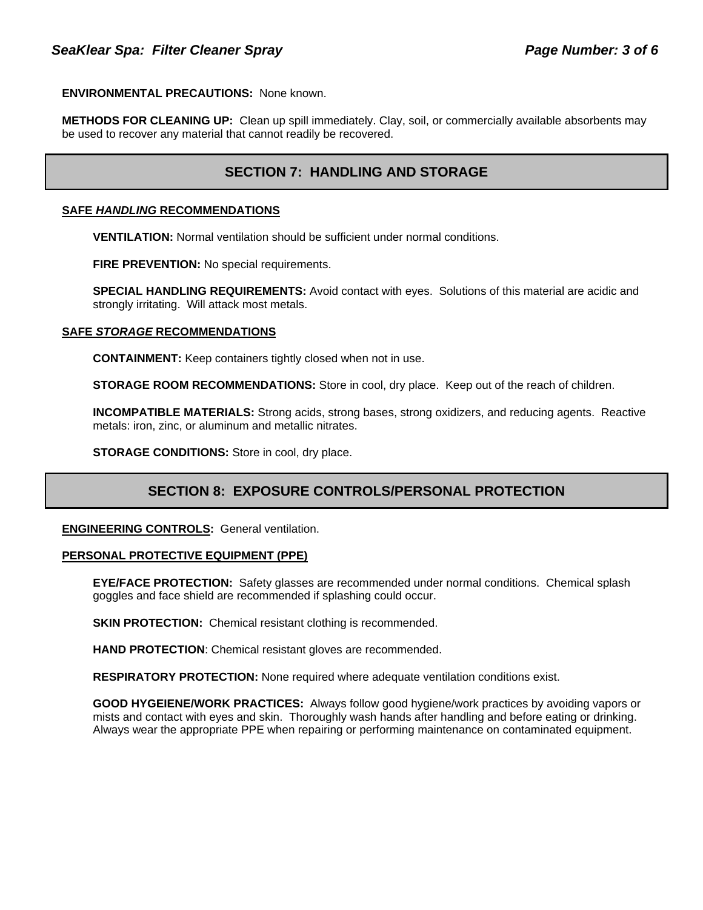### **ENVIRONMENTAL PRECAUTIONS:** None known.

**METHODS FOR CLEANING UP:** Clean up spill immediately. Clay, soil, or commercially available absorbents may be used to recover any material that cannot readily be recovered.

### **SECTION 7: HANDLING AND STORAGE**

### **SAFE** *HANDLING* **RECOMMENDATIONS**

**VENTILATION:** Normal ventilation should be sufficient under normal conditions.

**FIRE PREVENTION:** No special requirements.

**SPECIAL HANDLING REQUIREMENTS:** Avoid contact with eyes. Solutions of this material are acidic and strongly irritating. Will attack most metals.

### **SAFE** *STORAGE* **RECOMMENDATIONS**

**CONTAINMENT:** Keep containers tightly closed when not in use.

**STORAGE ROOM RECOMMENDATIONS:** Store in cool, dry place. Keep out of the reach of children.

**INCOMPATIBLE MATERIALS:** Strong acids, strong bases, strong oxidizers, and reducing agents. Reactive metals: iron, zinc, or aluminum and metallic nitrates.

**STORAGE CONDITIONS:** Store in cool, dry place.

# **SECTION 8: EXPOSURE CONTROLS/PERSONAL PROTECTION**

**ENGINEERING CONTROLS:** General ventilation.

### **PERSONAL PROTECTIVE EQUIPMENT (PPE)**

**EYE/FACE PROTECTION:** Safety glasses are recommended under normal conditions. Chemical splash goggles and face shield are recommended if splashing could occur.

**SKIN PROTECTION:** Chemical resistant clothing is recommended.

**HAND PROTECTION**: Chemical resistant gloves are recommended.

**RESPIRATORY PROTECTION:** None required where adequate ventilation conditions exist.

**GOOD HYGEIENE/WORK PRACTICES:** Always follow good hygiene/work practices by avoiding vapors or mists and contact with eyes and skin. Thoroughly wash hands after handling and before eating or drinking. Always wear the appropriate PPE when repairing or performing maintenance on contaminated equipment.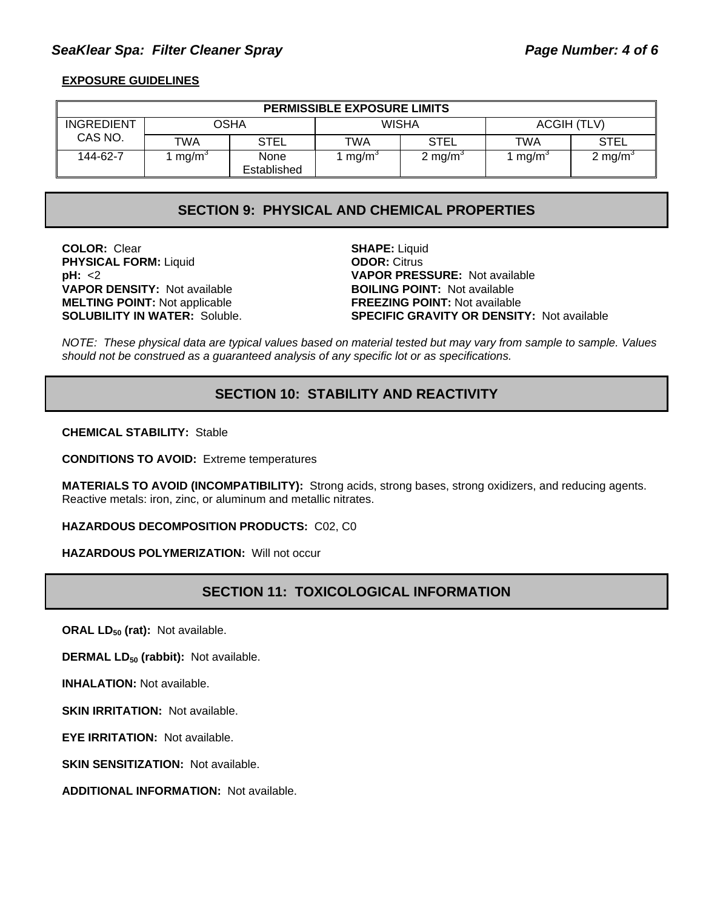### SeaKlear Spa: Filter Cleaner Spray **Page Number: 4 of 6**

### **EXPOSURE GUIDELINES**

| <b>PERMISSIBLE EXPOSURE LIMITS</b> |                   |                     |                         |                     |                           |                     |
|------------------------------------|-------------------|---------------------|-------------------------|---------------------|---------------------------|---------------------|
| <b>INGREDIENT</b>                  | OSHA              |                     | <b>WISHA</b>            |                     | ACGIH (TLV)               |                     |
| CAS NO.                            | TWA               | <b>STEL</b>         | <b>TWA</b>              | <b>STEL</b>         | TWA                       | <b>STEL</b>         |
| 144-62-7                           | mg/m <sup>3</sup> | None<br>Established | $\mu$ mg/m <sup>3</sup> | 2 mg/m <sup>3</sup> | $\ln m$ mg/m <sup>3</sup> | 2 mg/m <sup>3</sup> |

### **SECTION 9: PHYSICAL AND CHEMICAL PROPERTIES**

**COLOR:** Clear **SHAPE:** Liquid **PHYSICAL FORM:** Liquid **ODOR:** Citrus **VAPOR DENSITY: Not available MELTING POINT:** Not applicable **FREEZING POINT:** Not available

**pH:** <2<br> **VAPOR PRESSURE:** Not available<br> **VAPOR DENSITY:** Not available<br> **BOILING POINT:** Not available **SOLUBILITY IN WATER:** Soluble. **SPECIFIC GRAVITY OR DENSITY:** Not available

*NOTE: These physical data are typical values based on material tested but may vary from sample to sample. Values should not be construed as a guaranteed analysis of any specific lot or as specifications.*

# **SECTION 10: STABILITY AND REACTIVITY**

**CHEMICAL STABILITY:** Stable

**CONDITIONS TO AVOID:** Extreme temperatures

**MATERIALS TO AVOID (INCOMPATIBILITY):** Strong acids, strong bases, strong oxidizers, and reducing agents. Reactive metals: iron, zinc, or aluminum and metallic nitrates.

**HAZARDOUS DECOMPOSITION PRODUCTS:** C02, C0

**HAZARDOUS POLYMERIZATION:** Will not occur

### **SECTION 11: TOXICOLOGICAL INFORMATION**

**ORAL LD<sub>50</sub> (rat):** Not available.

**DERMAL LD<sub>50</sub> (rabbit):** Not available.

**INHALATION:** Not available.

**SKIN IRRITATION:** Not available.

**EYE IRRITATION:** Not available.

**SKIN SENSITIZATION: Not available.** 

**ADDITIONAL INFORMATION:** Not available.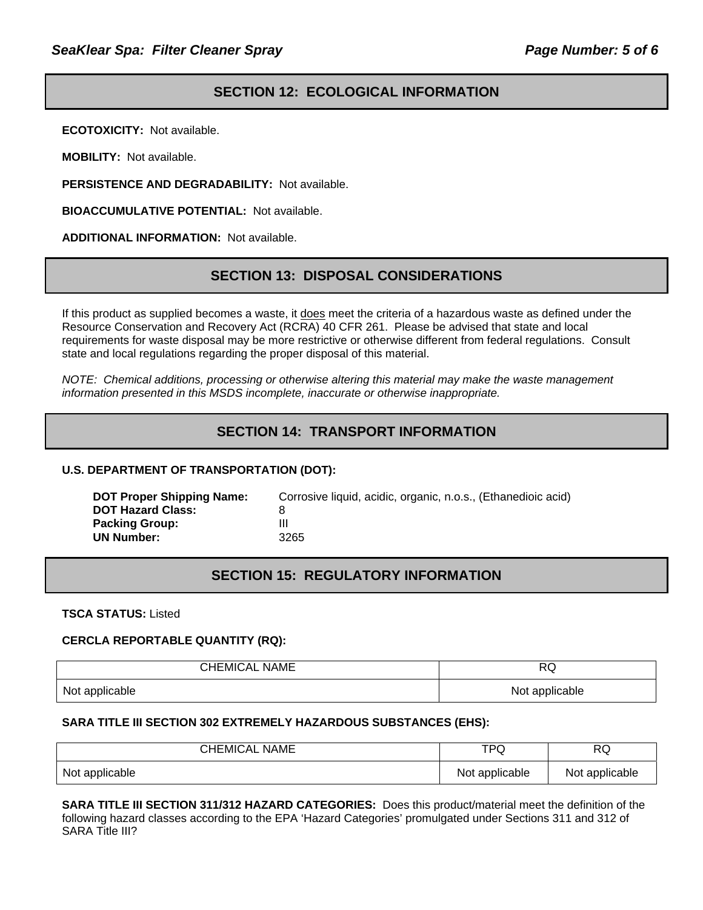# **SECTION 12: ECOLOGICAL INFORMATION**

**ECOTOXICITY:** Not available.

**MOBILITY:** Not available.

**PERSISTENCE AND DEGRADABILITY:** Not available.

**BIOACCUMULATIVE POTENTIAL:** Not available.

**ADDITIONAL INFORMATION:** Not available.

### **SECTION 13: DISPOSAL CONSIDERATIONS**

If this product as supplied becomes a waste, it does meet the criteria of a hazardous waste as defined under the Resource Conservation and Recovery Act (RCRA) 40 CFR 261. Please be advised that state and local requirements for waste disposal may be more restrictive or otherwise different from federal regulations. Consult state and local regulations regarding the proper disposal of this material.

*NOTE: Chemical additions, processing or otherwise altering this material may make the waste management information presented in this MSDS incomplete, inaccurate or otherwise inappropriate.* 

# **SECTION 14: TRANSPORT INFORMATION**

### **U.S. DEPARTMENT OF TRANSPORTATION (DOT):**

| Corrosive liquid, acidic, organic, n.o.s., (Ethanedioic acid) |
|---------------------------------------------------------------|
|                                                               |
| 3265                                                          |
|                                                               |

# **SECTION 15: REGULATORY INFORMATION**

**TSCA STATUS:** Listed

### **CERCLA REPORTABLE QUANTITY (RQ):**

| <b>CHEMICAL NAME</b> | DO<br>אש       |
|----------------------|----------------|
| Not applicable       | Not applicable |

### **SARA TITLE III SECTION 302 EXTREMELY HAZARDOUS SUBSTANCES (EHS):**

| CHEMICAL NAME  | TPQ            | RQ             |
|----------------|----------------|----------------|
| Not applicable | Not applicable | Not applicable |

**SARA TITLE III SECTION 311/312 HAZARD CATEGORIES:** Does this product/material meet the definition of the following hazard classes according to the EPA 'Hazard Categories' promulgated under Sections 311 and 312 of SARA Title III?